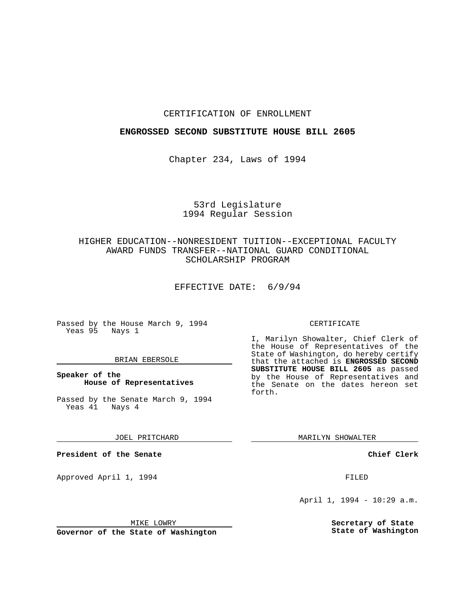#### CERTIFICATION OF ENROLLMENT

## **ENGROSSED SECOND SUBSTITUTE HOUSE BILL 2605**

Chapter 234, Laws of 1994

# 53rd Legislature 1994 Regular Session

# HIGHER EDUCATION--NONRESIDENT TUITION--EXCEPTIONAL FACULTY AWARD FUNDS TRANSFER--NATIONAL GUARD CONDITIONAL SCHOLARSHIP PROGRAM

EFFECTIVE DATE: 6/9/94

Passed by the House March 9, 1994 Yeas 95 Nays 1

## BRIAN EBERSOLE

## **Speaker of the House of Representatives**

Passed by the Senate March 9, 1994<br>Yeas 41 Nays 4 Yeas 41

JOEL PRITCHARD

**President of the Senate**

Approved April 1, 1994 **FILED** 

MIKE LOWRY

**Governor of the State of Washington**

#### CERTIFICATE

I, Marilyn Showalter, Chief Clerk of the House of Representatives of the State of Washington, do hereby certify that the attached is **ENGROSSED SECOND SUBSTITUTE HOUSE BILL 2605** as passed by the House of Representatives and the Senate on the dates hereon set forth.

MARILYN SHOWALTER

**Chief Clerk**

April 1, 1994 - 10:29 a.m.

**Secretary of State State of Washington**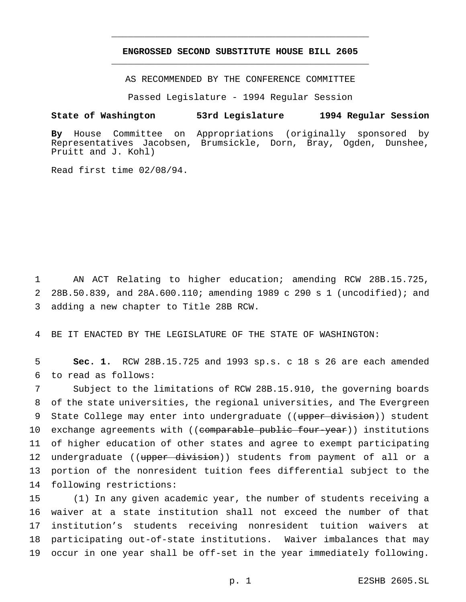## **ENGROSSED SECOND SUBSTITUTE HOUSE BILL 2605** \_\_\_\_\_\_\_\_\_\_\_\_\_\_\_\_\_\_\_\_\_\_\_\_\_\_\_\_\_\_\_\_\_\_\_\_\_\_\_\_\_\_\_\_\_\_\_

\_\_\_\_\_\_\_\_\_\_\_\_\_\_\_\_\_\_\_\_\_\_\_\_\_\_\_\_\_\_\_\_\_\_\_\_\_\_\_\_\_\_\_\_\_\_\_

AS RECOMMENDED BY THE CONFERENCE COMMITTEE

Passed Legislature - 1994 Regular Session

#### **State of Washington 53rd Legislature 1994 Regular Session**

**By** House Committee on Appropriations (originally sponsored by Representatives Jacobsen, Brumsickle, Dorn, Bray, Ogden, Dunshee, Pruitt and J. Kohl)

Read first time 02/08/94.

1 AN ACT Relating to higher education; amending RCW 28B.15.725, 2 28B.50.839, and 28A.600.110; amending 1989 c 290 s 1 (uncodified); and 3 adding a new chapter to Title 28B RCW.

4 BE IT ENACTED BY THE LEGISLATURE OF THE STATE OF WASHINGTON:

5 **Sec. 1.** RCW 28B.15.725 and 1993 sp.s. c 18 s 26 are each amended 6 to read as follows:

 Subject to the limitations of RCW 28B.15.910, the governing boards of the state universities, the regional universities, and The Evergreen 9 State College may enter into undergraduate ((upper division)) student 10 exchange agreements with ((comparable public four-year)) institutions of higher education of other states and agree to exempt participating 12 undergraduate ((upper division)) students from payment of all or a portion of the nonresident tuition fees differential subject to the following restrictions:

 (1) In any given academic year, the number of students receiving a waiver at a state institution shall not exceed the number of that institution's students receiving nonresident tuition waivers at participating out-of-state institutions. Waiver imbalances that may occur in one year shall be off-set in the year immediately following.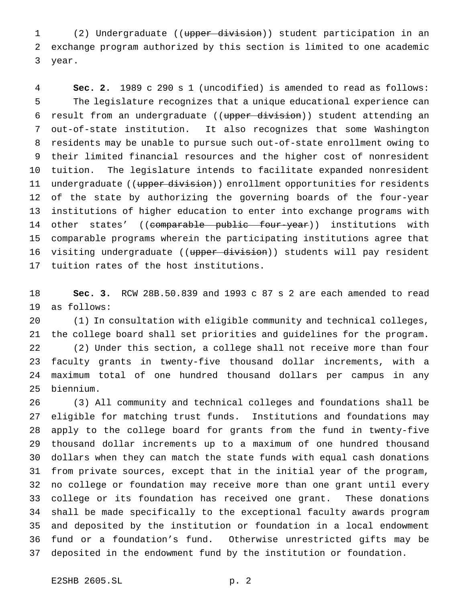(2) Undergraduate ((upper division)) student participation in an exchange program authorized by this section is limited to one academic year.

 **Sec. 2.** 1989 c 290 s 1 (uncodified) is amended to read as follows: The legislature recognizes that a unique educational experience can 6 result from an undergraduate ((upper division)) student attending an out-of-state institution. It also recognizes that some Washington residents may be unable to pursue such out-of-state enrollment owing to their limited financial resources and the higher cost of nonresident tuition. The legislature intends to facilitate expanded nonresident 11 undergraduate ((upper division)) enrollment opportunities for residents of the state by authorizing the governing boards of the four-year institutions of higher education to enter into exchange programs with 14 other states' ((comparable public four-year)) institutions with comparable programs wherein the participating institutions agree that 16 visiting undergraduate ((upper division)) students will pay resident tuition rates of the host institutions.

 **Sec. 3.** RCW 28B.50.839 and 1993 c 87 s 2 are each amended to read as follows:

 (1) In consultation with eligible community and technical colleges, the college board shall set priorities and guidelines for the program. (2) Under this section, a college shall not receive more than four faculty grants in twenty-five thousand dollar increments, with a maximum total of one hundred thousand dollars per campus in any biennium.

 (3) All community and technical colleges and foundations shall be eligible for matching trust funds. Institutions and foundations may apply to the college board for grants from the fund in twenty-five thousand dollar increments up to a maximum of one hundred thousand dollars when they can match the state funds with equal cash donations from private sources, except that in the initial year of the program, no college or foundation may receive more than one grant until every college or its foundation has received one grant. These donations shall be made specifically to the exceptional faculty awards program and deposited by the institution or foundation in a local endowment fund or a foundation's fund. Otherwise unrestricted gifts may be deposited in the endowment fund by the institution or foundation.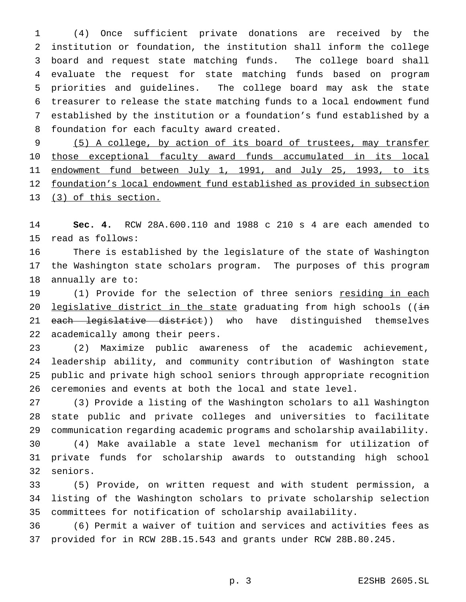(4) Once sufficient private donations are received by the institution or foundation, the institution shall inform the college board and request state matching funds. The college board shall evaluate the request for state matching funds based on program priorities and guidelines. The college board may ask the state treasurer to release the state matching funds to a local endowment fund established by the institution or a foundation's fund established by a foundation for each faculty award created.

 (5) A college, by action of its board of trustees, may transfer those exceptional faculty award funds accumulated in its local 11 endowment fund between July 1, 1991, and July 25, 1993, to its foundation's local endowment fund established as provided in subsection (3) of this section.

 **Sec. 4.** RCW 28A.600.110 and 1988 c 210 s 4 are each amended to read as follows:

 There is established by the legislature of the state of Washington the Washington state scholars program. The purposes of this program annually are to:

 (1) Provide for the selection of three seniors residing in each 20 legislative district in the state graduating from high schools ((in 21 each legislative district)) who have distinguished themselves academically among their peers.

 (2) Maximize public awareness of the academic achievement, leadership ability, and community contribution of Washington state public and private high school seniors through appropriate recognition ceremonies and events at both the local and state level.

 (3) Provide a listing of the Washington scholars to all Washington state public and private colleges and universities to facilitate communication regarding academic programs and scholarship availability.

 (4) Make available a state level mechanism for utilization of private funds for scholarship awards to outstanding high school seniors.

 (5) Provide, on written request and with student permission, a listing of the Washington scholars to private scholarship selection committees for notification of scholarship availability.

 (6) Permit a waiver of tuition and services and activities fees as provided for in RCW 28B.15.543 and grants under RCW 28B.80.245.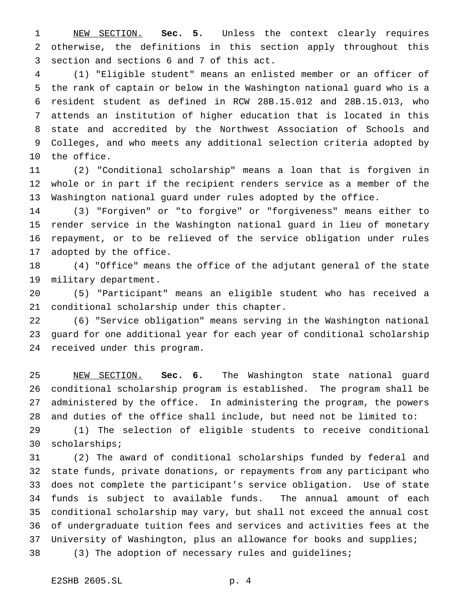NEW SECTION. **Sec. 5.** Unless the context clearly requires otherwise, the definitions in this section apply throughout this section and sections 6 and 7 of this act.

 (1) "Eligible student" means an enlisted member or an officer of the rank of captain or below in the Washington national guard who is a resident student as defined in RCW 28B.15.012 and 28B.15.013, who attends an institution of higher education that is located in this state and accredited by the Northwest Association of Schools and Colleges, and who meets any additional selection criteria adopted by the office.

 (2) "Conditional scholarship" means a loan that is forgiven in whole or in part if the recipient renders service as a member of the Washington national guard under rules adopted by the office.

 (3) "Forgiven" or "to forgive" or "forgiveness" means either to render service in the Washington national guard in lieu of monetary repayment, or to be relieved of the service obligation under rules adopted by the office.

 (4) "Office" means the office of the adjutant general of the state military department.

 (5) "Participant" means an eligible student who has received a conditional scholarship under this chapter.

 (6) "Service obligation" means serving in the Washington national guard for one additional year for each year of conditional scholarship received under this program.

 NEW SECTION. **Sec. 6.** The Washington state national guard conditional scholarship program is established. The program shall be administered by the office. In administering the program, the powers and duties of the office shall include, but need not be limited to:

 (1) The selection of eligible students to receive conditional scholarships;

 (2) The award of conditional scholarships funded by federal and state funds, private donations, or repayments from any participant who does not complete the participant's service obligation. Use of state funds is subject to available funds. The annual amount of each conditional scholarship may vary, but shall not exceed the annual cost of undergraduate tuition fees and services and activities fees at the University of Washington, plus an allowance for books and supplies; (3) The adoption of necessary rules and guidelines;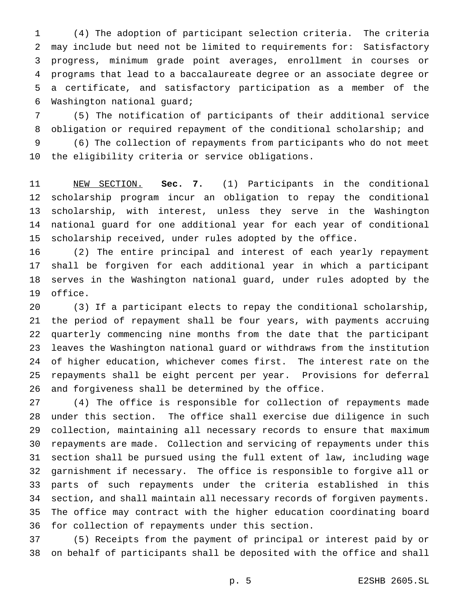(4) The adoption of participant selection criteria. The criteria may include but need not be limited to requirements for: Satisfactory progress, minimum grade point averages, enrollment in courses or programs that lead to a baccalaureate degree or an associate degree or a certificate, and satisfactory participation as a member of the Washington national guard;

 (5) The notification of participants of their additional service obligation or required repayment of the conditional scholarship; and

 (6) The collection of repayments from participants who do not meet the eligibility criteria or service obligations.

 NEW SECTION. **Sec. 7.** (1) Participants in the conditional scholarship program incur an obligation to repay the conditional scholarship, with interest, unless they serve in the Washington national guard for one additional year for each year of conditional scholarship received, under rules adopted by the office.

 (2) The entire principal and interest of each yearly repayment shall be forgiven for each additional year in which a participant serves in the Washington national guard, under rules adopted by the office.

 (3) If a participant elects to repay the conditional scholarship, the period of repayment shall be four years, with payments accruing quarterly commencing nine months from the date that the participant leaves the Washington national guard or withdraws from the institution of higher education, whichever comes first. The interest rate on the repayments shall be eight percent per year. Provisions for deferral and forgiveness shall be determined by the office.

 (4) The office is responsible for collection of repayments made under this section. The office shall exercise due diligence in such collection, maintaining all necessary records to ensure that maximum repayments are made. Collection and servicing of repayments under this section shall be pursued using the full extent of law, including wage garnishment if necessary. The office is responsible to forgive all or parts of such repayments under the criteria established in this section, and shall maintain all necessary records of forgiven payments. The office may contract with the higher education coordinating board for collection of repayments under this section.

 (5) Receipts from the payment of principal or interest paid by or on behalf of participants shall be deposited with the office and shall